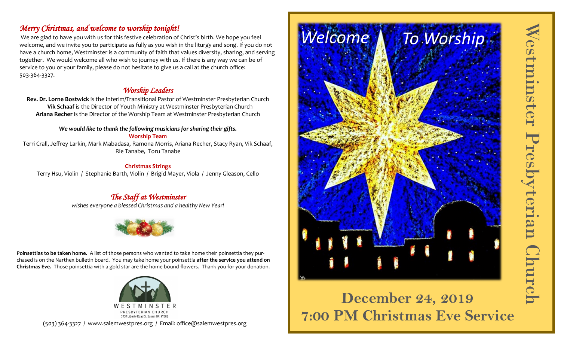# *Merry Christmas, and welcome to worship tonight!*

We are glad to have you with us for this festive celebration of Christ's birth. We hope you feel welcome, and we invite you to participate as fully as you wish in the liturgy and song. If you do not have a church home, Westminster is a community of faith that values diversity, sharing, and serving together. We would welcome all who wish to journey with us. If there is any way we can be of service to you or your family, please do not hesitate to give us a call at the church office: 503-364-3327.

## *Worship Leaders*

**Rev. Dr. Lorne Bostwick** is the Interim/Transitional Pastor of Westminster Presbyterian Church **Vik Schaaf** is the Director of Youth Ministry at Westminster Presbyterian Church **Ariana Recher** is the Director of the Worship Team at Westminster Presbyterian Church

#### *We would like to thank the following musicians for sharing their gifts.* **Worship Team**

Terri Crall, Jeffrey Larkin, Mark Mabadasa, Ramona Morris, Ariana Recher, Stacy Ryan, Vik Schaaf, Rie Tanabe, Toru Tanabe

#### **Christmas Strings**

Terry Hsu, Violin / Stephanie Barth, Violin / Brigid Mayer, Viola / Jenny Gleason, Cello

# *The Staff at Westminster*

*wishes everyone a blessed Christmas and a healthy New Year!*



**Poinsettias to be taken home.** A list of those persons who wanted to take home their poinsettia they purchased is on the Narthex bulletin board. You may take home your poinsettia **after the service you attend on Christmas Eve.** Those poinsettia with a gold star are the home bound flowers. Thank you for your donation.



(503) 364-3327 / www.salemwestpres.org / Email: office@salemwestpres.org



# **December 24, 2019 7:00 PM Christmas Eve Service**